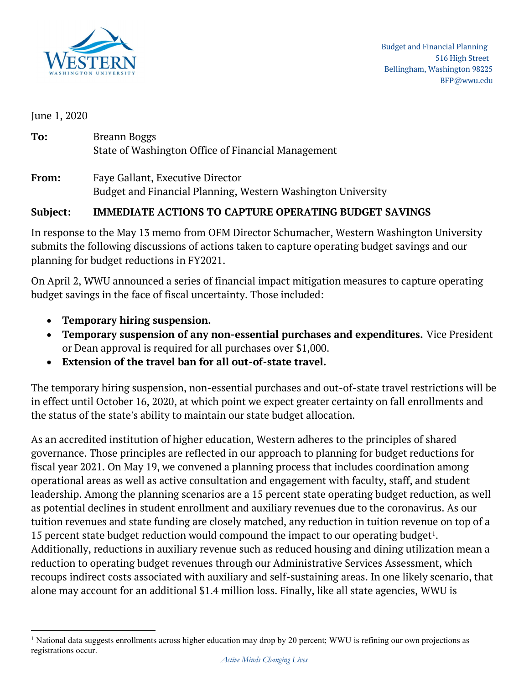

June 1, 2020

| To:   | Breann Boggs<br>State of Washington Office of Financial Management                               |
|-------|--------------------------------------------------------------------------------------------------|
| From: | Faye Gallant, Executive Director<br>Budget and Financial Planning, Western Washington University |

## Subject: IMMEDIATE ACTIONS TO CAPTURE OPERATING BUDGET SAVINGS

In response to the May 13 memo from OFM Director Schumacher, Western Washington University submits the following discussions of actions taken to capture operating budget savings and our planning for budget reductions in FY2021.

On April 2, WWU announced a series of financial impact mitigation measures to capture operating budget savings in the face of fiscal uncertainty. Those included:

- Temporary hiring suspension.
- Temporary suspension of any non-essential purchases and expenditures. Vice President or Dean approval is required for all purchases over \$1,000.
- Extension of the travel ban for all out-of-state travel.

The temporary hiring suspension, non-essential purchases and out-of-state travel restrictions will be in effect until October 16, 2020, at which point we expect greater certainty on fall enrollments and the status of the state's ability to maintain our state budget allocation.

As an accredited institution of higher education, Western adheres to the principles of shared governance. Those principles are reflected in our approach to planning for budget reductions for fiscal year 2021. On May 19, we convened a planning process that includes coordination among operational areas as well as active consultation and engagement with faculty, staff, and student leadership. Among the planning scenarios are a 15 percent state operating budget reduction, as well as potential declines in student enrollment and auxiliary revenues due to the coronavirus. As our tuition revenues and state funding are closely matched, any reduction in tuition revenue on top of a 15 percent state budget reduction would compound the impact to our operating budget<sup>1</sup>. Additionally, reductions in auxiliary revenue such as reduced housing and dining utilization mean a reduction to operating budget revenues through our Administrative Services Assessment, which recoups indirect costs associated with auxiliary and self-sustaining areas. In one likely scenario, that alone may account for an additional \$1.4 million loss. Finally, like all state agencies, WWU is

<sup>&</sup>lt;sup>1</sup> National data suggests enrollments across higher education may drop by 20 percent; WWU is refining our own projections as registrations occur.